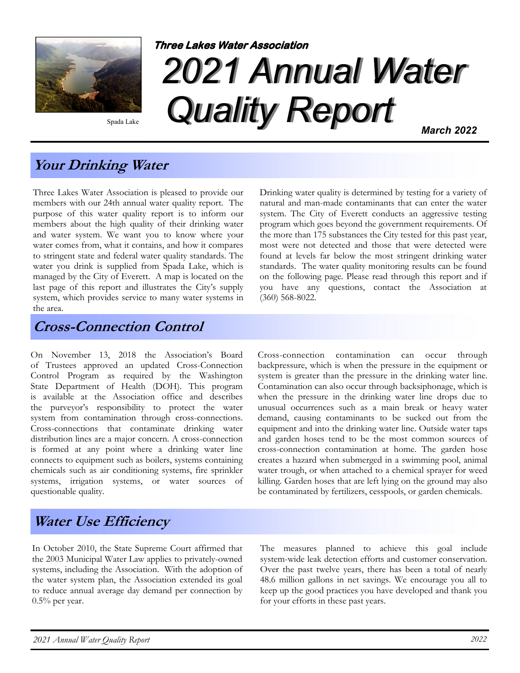

Spada Lake

# 2021 Annual Water Quality Report Three Lakes Water Association March 2022

Your Drinking Water

Three Lakes Water Association is pleased to provide our members with our 24th annual water quality report. The purpose of this water quality report is to inform our members about the high quality of their drinking water and water system. We want you to know where your water comes from, what it contains, and how it compares to stringent state and federal water quality standards. The water you drink is supplied from Spada Lake, which is managed by the City of Everett. A map is located on the last page of this report and illustrates the City's supply system, which provides service to many water systems in the area.

Cross-Connection Control

On November 13, 2018 the Association's Board of Trustees approved an updated Cross-Connection Control Program as required by the Washington State Department of Health (DOH). This program is available at the Association office and describes the purveyor's responsibility to protect the water system from contamination through cross-connections. Cross-connections that contaminate drinking water distribution lines are a major concern. A cross-connection is formed at any point where a drinking water line connects to equipment such as boilers, systems containing chemicals such as air conditioning systems, fire sprinkler systems, irrigation systems, or water sources of questionable quality.

#### Drinking water quality is determined by testing for a variety of natural and man-made contaminants that can enter the water system. The City of Everett conducts an aggressive testing program which goes beyond the government requirements. Of the more than 175 substances the City tested for this past year, most were not detected and those that were detected were found at levels far below the most stringent drinking water standards. The water quality monitoring results can be found on the following page. Please read through this report and if you have any questions, contact the Association at (360) 568-8022.

Cross-connection contamination can occur through backpressure, which is when the pressure in the equipment or system is greater than the pressure in the drinking water line. Contamination can also occur through backsiphonage, which is when the pressure in the drinking water line drops due to unusual occurrences such as a main break or heavy water demand, causing contaminants to be sucked out from the equipment and into the drinking water line. Outside water taps and garden hoses tend to be the most common sources of cross-connection contamination at home. The garden hose creates a hazard when submerged in a swimming pool, animal water trough, or when attached to a chemical sprayer for weed killing. Garden hoses that are left lying on the ground may also be contaminated by fertilizers, cesspools, or garden chemicals.

# Water Use Efficiency

In October 2010, the State Supreme Court affirmed that the 2003 Municipal Water Law applies to privately-owned systems, including the Association. With the adoption of the water system plan, the Association extended its goal to reduce annual average day demand per connection by  $0.5\%$  per year.

The measures planned to achieve this goal include system-wide leak detection efforts and customer conservation. Over the past twelve years, there has been a total of nearly 48.6 million gallons in net savings. We encourage you all to keep up the good practices you have developed and thank you for your efforts in these past years.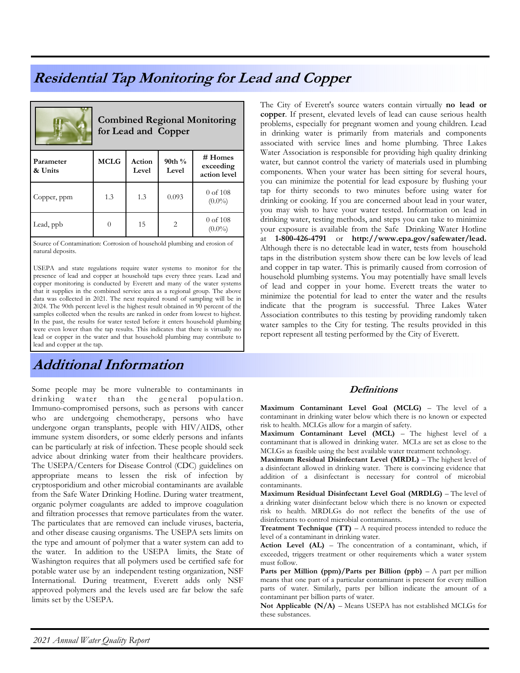## Residential Tap Monitoring for Lead and Copper

|                      | <b>Combined Regional Monitoring</b><br>for Lead and Copper |                 |                    |                                      |  |  |  |  |
|----------------------|------------------------------------------------------------|-----------------|--------------------|--------------------------------------|--|--|--|--|
| Parameter<br>& Units | <b>MCLG</b>                                                | Action<br>Level | 90th $\%$<br>Level | # Homes<br>exceeding<br>action level |  |  |  |  |
| Copper, ppm          | 1.3                                                        | 1.3             | 0.093              | $0$ of $108$<br>$(0.0\%)$            |  |  |  |  |
| Lead, ppb            |                                                            | 15              | 2                  | $0$ of $108$<br>$(0.0\%)$            |  |  |  |  |

Source of Contamination: Corrosion of household plumbing and erosion of natural deposits.

USEPA and state regulations require water systems to monitor for the presence of lead and copper at household taps every three years. Lead and copper monitoring is conducted by Everett and many of the water systems that it supplies in the combined service area as a regional group. The above data was collected in 2021. The next required round of sampling will be in 2024. The 90th percent level is the highest result obtained in 90 percent of the samples collected when the results are ranked in order from lowest to highest. In the past, the results for water tested before it enters household plumbing were even lower than the tap results. This indicates that there is virtually no lead or copper in the water and that household plumbing may contribute to lead and copper at the tap.

# Additional Information

Some people may be more vulnerable to contaminants in drinking water than the general population. Immuno-compromised persons, such as persons with cancer who are undergoing chemotherapy, persons who have undergone organ transplants, people with HIV/AIDS, other immune system disorders, or some elderly persons and infants can be particularly at risk of infection. These people should seek advice about drinking water from their healthcare providers. The USEPA/Centers for Disease Control (CDC) guidelines on appropriate means to lessen the risk of infection by cryptosporidium and other microbial contaminants are available from the Safe Water Drinking Hotline. During water treatment, organic polymer coagulants are added to improve coagulation and filtration processes that remove particulates from the water. The particulates that are removed can include viruses, bacteria, and other disease causing organisms. The USEPA sets limits on the type and amount of polymer that a water system can add to the water. In addition to the USEPA limits, the State of Washington requires that all polymers used be certified safe for potable water use by an independent testing organization, NSF International. During treatment, Everett adds only NSF approved polymers and the levels used are far below the safe limits set by the USEPA.

The City of Everett's source waters contain virtually no lead or copper. If present, elevated levels of lead can cause serious health problems, especially for pregnant women and young children. Lead in drinking water is primarily from materials and components associated with service lines and home plumbing. Three Lakes Water Association is responsible for providing high quality drinking water, but cannot control the variety of materials used in plumbing components. When your water has been sitting for several hours, you can minimize the potential for lead exposure by flushing your tap for thirty seconds to two minutes before using water for drinking or cooking. If you are concerned about lead in your water, you may wish to have your water tested. Information on lead in drinking water, testing methods, and steps you can take to minimize your exposure is available from the Safe Drinking Water Hotline at 1-800-426-4791 or http://www.epa.gov/safewater/lead. Although there is no detectable lead in water, tests from household taps in the distribution system show there can be low levels of lead and copper in tap water. This is primarily caused from corrosion of household plumbing systems. You may potentially have small levels of lead and copper in your home. Everett treats the water to minimize the potential for lead to enter the water and the results indicate that the program is successful. Three Lakes Water Association contributes to this testing by providing randomly taken water samples to the City for testing. The results provided in this report represent all testing performed by the City of Everett.

#### **Definitions**

Maximum Contaminant Level Goal (MCLG) – The level of a contaminant in drinking water below which there is no known or expected risk to health. MCLGs allow for a margin of safety.

Maximum Contaminant Level (MCL) – The highest level of a contaminant that is allowed in drinking water. MCLs are set as close to the MCLGs as feasible using the best available water treatment technology.

Maximum Residual Disinfectant Level (MRDL) – The highest level of a disinfectant allowed in drinking water. There is convincing evidence that addition of a disinfectant is necessary for control of microbial contaminants.

Maximum Residual Disinfectant Level Goal (MRDLG) – The level of a drinking water disinfectant below which there is no known or expected risk to health. MRDLGs do not reflect the benefits of the use of disinfectants to control microbial contaminants.

**Treatment Technique (TT)** – A required process intended to reduce the level of a contaminant in drinking water.

Action Level (AL) – The concentration of a contaminant, which, if exceeded, triggers treatment or other requirements which a water system must follow.

Parts per Million (ppm)/Parts per Billion (ppb) –  $A$  part per million means that one part of a particular contaminant is present for every million parts of water. Similarly, parts per billion indicate the amount of a contaminant per billion parts of water.

Not Applicable  $(N/A)$  – Means USEPA has not established MCLGs for these substances.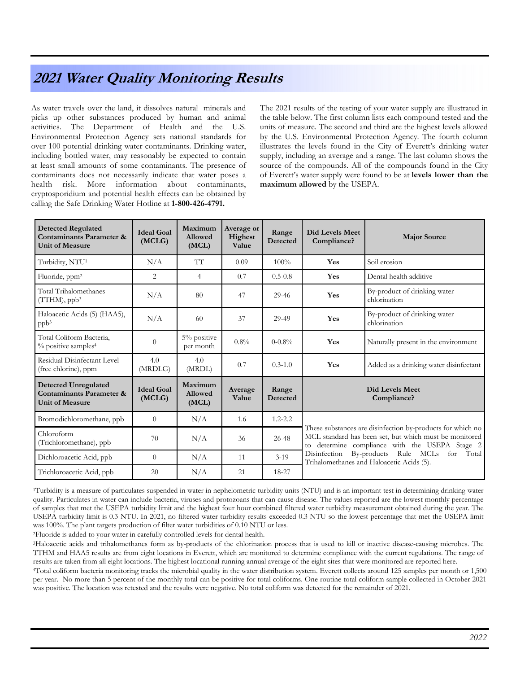### 2021 Water Quality Monitoring Results

As water travels over the land, it dissolves natural minerals and picks up other substances produced by human and animal activities. The Department of Health and the U.S. Environmental Protection Agency sets national standards for over 100 potential drinking water contaminants. Drinking water, including bottled water, may reasonably be expected to contain at least small amounts of some contaminants. The presence of contaminants does not necessarily indicate that water poses a health risk. More information about contaminants, cryptosporidium and potential health effects can be obtained by calling the Safe Drinking Water Hotline at 1-800-426-4791.

The 2021 results of the testing of your water supply are illustrated in the table below. The first column lists each compound tested and the units of measure. The second and third are the highest levels allowed by the U.S. Environmental Protection Agency. The fourth column illustrates the levels found in the City of Everett's drinking water supply, including an average and a range. The last column shows the source of the compounds. All of the compounds found in the City of Everett's water supply were found to be at levels lower than the maximum allowed by the USEPA.

| <b>Detected Regulated</b><br>Contaminants Parameter &<br><b>Unit of Measure</b>              | <b>Ideal Goal</b><br>(MCLG) | Maximum<br>Allowed<br>(MCL)        | Average or<br>Highest<br>Value | Range<br>Detected        | <b>Did Levels Meet</b><br>Compliance?                                                                                                                                                                                                                                  | <b>Major Source</b>                          |
|----------------------------------------------------------------------------------------------|-----------------------------|------------------------------------|--------------------------------|--------------------------|------------------------------------------------------------------------------------------------------------------------------------------------------------------------------------------------------------------------------------------------------------------------|----------------------------------------------|
| Turbidity, NTU <sup>1</sup>                                                                  | N/A                         | TT                                 | 0.09                           | $100\%$                  | Yes                                                                                                                                                                                                                                                                    | Soil erosion                                 |
| Fluoride, ppm <sup>2</sup>                                                                   | 2                           | $\overline{4}$                     | 0.7                            | $0.5 - 0.8$              | Yes                                                                                                                                                                                                                                                                    | Dental health additive                       |
| Total Trihalomethanes<br>$(TTHM)$ , pp $b^3$                                                 | N/A                         | 80                                 | 47                             | 29-46                    | Yes                                                                                                                                                                                                                                                                    | By-product of drinking water<br>chlorination |
| Haloacetic Acids (5) (HAA5),<br>ppb <sup>3</sup>                                             | N/A                         | 60                                 | 37                             | 29-49                    | Yes                                                                                                                                                                                                                                                                    | By-product of drinking water<br>chlorination |
| Total Coliform Bacteria,<br>% positive samples <sup>4</sup>                                  | $\overline{0}$              | 5% positive<br>per month           | $0.8\%$                        | $0 - 0.8\%$              | Yes                                                                                                                                                                                                                                                                    | Naturally present in the environment         |
| Residual Disinfectant Level<br>(free chlorine), ppm                                          | 4.0<br>(MRDLG)              | 4.0<br>(MRDL)                      | 0.7                            | $0.3 - 1.0$              | Yes                                                                                                                                                                                                                                                                    | Added as a drinking water disinfectant       |
| <b>Detected Unregulated</b><br><b>Contaminants Parameter &amp;</b><br><b>Unit of Measure</b> | <b>Ideal Goal</b><br>(MCLG) | Maximum<br><b>Allowed</b><br>(MCL) | Average<br>Value               | Range<br><b>Detected</b> | Did Levels Meet<br>Compliance?                                                                                                                                                                                                                                         |                                              |
| Bromodichloromethane, ppb                                                                    | $\overline{0}$              | N/A                                | 1.6                            | $1.2 - 2.2$              | These substances are disinfection by-products for which no<br>MCL standard has been set, but which must be monitored<br>to determine compliance with the USEPA Stage 2<br>Disinfection By-products Rule MCLs<br>for Total<br>Trihalomethanes and Haloacetic Acids (5). |                                              |
| Chloroform<br>(Trichloromethane), ppb                                                        | 70                          | N/A                                | 36                             | 26-48                    |                                                                                                                                                                                                                                                                        |                                              |
| Dichloroacetic Acid, ppb                                                                     | $\Omega$                    | N/A                                | 11                             | $3-19$                   |                                                                                                                                                                                                                                                                        |                                              |
| Trichloroacetic Acid, ppb                                                                    | 20                          | N/A                                | 21                             | 18-27                    |                                                                                                                                                                                                                                                                        |                                              |

<sup>1</sup>Turbidity is a measure of particulates suspended in water in nephelometric turbidity units (NTU) and is an important test in determining drinking water quality. Particulates in water can include bacteria, viruses and protozoans that can cause disease. The values reported are the lowest monthly percentage of samples that met the USEPA turbidity limit and the highest four hour combined filtered water turbidity measurement obtained during the year. The USEPA turbidity limit is 0.3 NTU. In 2021, no filtered water turbidity results exceeded 0.3 NTU so the lowest percentage that met the USEPA limit was 100%. The plant targets production of filter water turbidities of 0.10 NTU or less.

<sup>2</sup>Fluoride is added to your water in carefully controlled levels for dental health.

<sup>3</sup>Haloacetic acids and trihalomethanes form as by-products of the chlorination process that is used to kill or inactive disease-causing microbes. The TTHM and HAA5 results are from eight locations in Everett, which are monitored to determine compliance with the current regulations. The range of results are taken from all eight locations. The highest locational running annual average of the eight sites that were monitored are reported here.

<sup>4</sup>Total coliform bacteria monitoring tracks the microbial quality in the water distribution system. Everett collects around 125 samples per month or 1,500 per year. No more than 5 percent of the monthly total can be positive for total coliforms. One routine total coliform sample collected in October 2021 was positive. The location was retested and the results were negative. No total coliform was detected for the remainder of 2021.